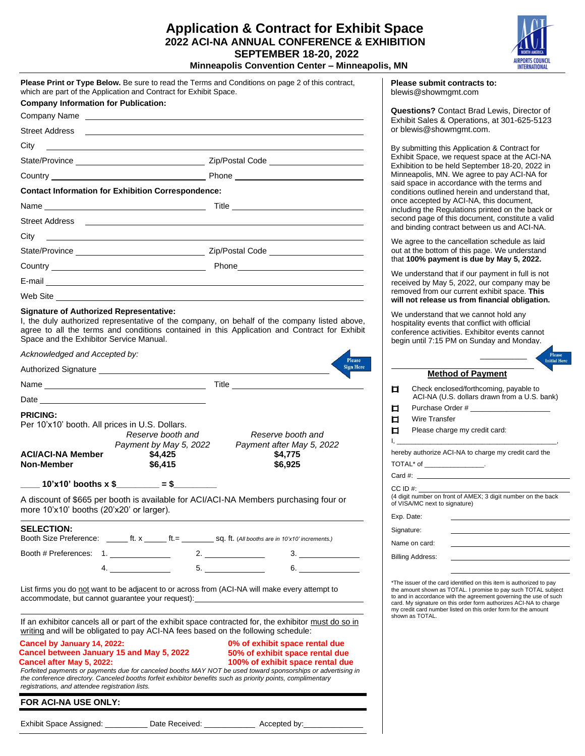## **Application & Contract for Exhibit Space 2022 ACI-NA ANNUAL CONFERENCE & EXHIBITION SEPTEMBER 18-20, 2022 Minneapolis Convention Center – Minneapolis, MN**



| Please Print or Type Below. Be sure to read the Terms and Conditions on page 2 of this contract,<br>which are part of the Application and Contract for Exhibit Space.                                                                                                                                       |                                                                                                                                                                                                                                      | Please submit contracts to:<br>blewis@showmgmt.com                                                                                                                                                                                                                                                                                                 |  |
|-------------------------------------------------------------------------------------------------------------------------------------------------------------------------------------------------------------------------------------------------------------------------------------------------------------|--------------------------------------------------------------------------------------------------------------------------------------------------------------------------------------------------------------------------------------|----------------------------------------------------------------------------------------------------------------------------------------------------------------------------------------------------------------------------------------------------------------------------------------------------------------------------------------------------|--|
| <b>Company Information for Publication:</b>                                                                                                                                                                                                                                                                 |                                                                                                                                                                                                                                      | <b>Questions?</b> Contact Brad Lewis, Director of                                                                                                                                                                                                                                                                                                  |  |
|                                                                                                                                                                                                                                                                                                             |                                                                                                                                                                                                                                      | Exhibit Sales & Operations, at 301-625-5123                                                                                                                                                                                                                                                                                                        |  |
| <b>Street Address</b>                                                                                                                                                                                                                                                                                       |                                                                                                                                                                                                                                      | or blewis@showmgmt.com.                                                                                                                                                                                                                                                                                                                            |  |
| City<br><u> 1989 - Johann Stoff, amerikansk politiker (* 1908)</u>                                                                                                                                                                                                                                          |                                                                                                                                                                                                                                      | By submitting this Application & Contract for                                                                                                                                                                                                                                                                                                      |  |
|                                                                                                                                                                                                                                                                                                             |                                                                                                                                                                                                                                      | Exhibit Space, we request space at the ACI-NA<br>Exhibition to be held September 18-20, 2022 in                                                                                                                                                                                                                                                    |  |
|                                                                                                                                                                                                                                                                                                             |                                                                                                                                                                                                                                      | Minneapolis, MN. We agree to pay ACI-NA for<br>said space in accordance with the terms and                                                                                                                                                                                                                                                         |  |
| <b>Contact Information for Exhibition Correspondence:</b>                                                                                                                                                                                                                                                   |                                                                                                                                                                                                                                      | conditions outlined herein and understand that,                                                                                                                                                                                                                                                                                                    |  |
|                                                                                                                                                                                                                                                                                                             |                                                                                                                                                                                                                                      | once accepted by ACI-NA, this document,<br>including the Regulations printed on the back or                                                                                                                                                                                                                                                        |  |
| <b>Street Address</b>                                                                                                                                                                                                                                                                                       |                                                                                                                                                                                                                                      | second page of this document, constitute a valid<br>and binding contract between us and ACI-NA.                                                                                                                                                                                                                                                    |  |
|                                                                                                                                                                                                                                                                                                             |                                                                                                                                                                                                                                      | We agree to the cancellation schedule as laid                                                                                                                                                                                                                                                                                                      |  |
|                                                                                                                                                                                                                                                                                                             |                                                                                                                                                                                                                                      | out at the bottom of this page. We understand<br>that 100% payment is due by May 5, 2022.                                                                                                                                                                                                                                                          |  |
|                                                                                                                                                                                                                                                                                                             |                                                                                                                                                                                                                                      | We understand that if our payment in full is not                                                                                                                                                                                                                                                                                                   |  |
|                                                                                                                                                                                                                                                                                                             |                                                                                                                                                                                                                                      | received by May 5, 2022, our company may be                                                                                                                                                                                                                                                                                                        |  |
| Web Site <u>Party Communications</u>                                                                                                                                                                                                                                                                        |                                                                                                                                                                                                                                      | removed from our current exhibit space. This<br>will not release us from financial obligation.                                                                                                                                                                                                                                                     |  |
| <b>Signature of Authorized Representative:</b><br>I, the duly authorized representative of the company, on behalf of the company listed above,<br>agree to all the terms and conditions contained in this Application and Contract for Exhibit<br>Space and the Exhibitor Service Manual.                   |                                                                                                                                                                                                                                      | We understand that we cannot hold any<br>hospitality events that conflict with official<br>conference activities. Exhibitor events cannot<br>begin until 7:15 PM on Sunday and Monday.                                                                                                                                                             |  |
| Acknowledged and Accepted by:                                                                                                                                                                                                                                                                               | Please                                                                                                                                                                                                                               | Please<br><b>Initial He</b>                                                                                                                                                                                                                                                                                                                        |  |
|                                                                                                                                                                                                                                                                                                             | <b>Sign Here</b>                                                                                                                                                                                                                     | <b>Method of Payment</b>                                                                                                                                                                                                                                                                                                                           |  |
| Name                                                                                                                                                                                                                                                                                                        | Title <u>substitution of the set of the set of the set of the set of the set of the set of the set of the set of the set of the set of the set of the set of the set of the set of the set of the set of the set of the set of t</u> | П<br>Check enclosed/forthcoming, payable to                                                                                                                                                                                                                                                                                                        |  |
|                                                                                                                                                                                                                                                                                                             |                                                                                                                                                                                                                                      | ACI-NA (U.S. dollars drawn from a U.S. bank)                                                                                                                                                                                                                                                                                                       |  |
| <b>PRICING:</b>                                                                                                                                                                                                                                                                                             |                                                                                                                                                                                                                                      | Purchase Order #<br>口                                                                                                                                                                                                                                                                                                                              |  |
| Per 10'x10' booth. All prices in U.S. Dollars.                                                                                                                                                                                                                                                              |                                                                                                                                                                                                                                      | Wire Transfer<br>◻<br>□<br>Please charge my credit card:                                                                                                                                                                                                                                                                                           |  |
| Reserve booth and<br>Payment by May 5, 2022                                                                                                                                                                                                                                                                 | Reserve booth and<br>Payment after May 5, 2022                                                                                                                                                                                       | Ι.                                                                                                                                                                                                                                                                                                                                                 |  |
| <b>ACI/ACI-NA Member</b><br>\$4,425                                                                                                                                                                                                                                                                         | \$4,775                                                                                                                                                                                                                              | hereby authorize ACI-NA to charge my credit card the                                                                                                                                                                                                                                                                                               |  |
| Non-Member<br>\$6,415                                                                                                                                                                                                                                                                                       | \$6,925                                                                                                                                                                                                                              | TOTAL* of ___________________.                                                                                                                                                                                                                                                                                                                     |  |
| $\frac{10^{6}x}{10^{6}x}$ 10'x10' booths x \$                                                                                                                                                                                                                                                               |                                                                                                                                                                                                                                      | Card #:                                                                                                                                                                                                                                                                                                                                            |  |
|                                                                                                                                                                                                                                                                                                             |                                                                                                                                                                                                                                      | $CC$ ID $#$ :<br>(4 digit number on front of AMEX; 3 digit number on the back                                                                                                                                                                                                                                                                      |  |
| A discount of \$665 per booth is available for ACI/ACI-NA Members purchasing four or<br>more 10'x10' booths (20'x20' or larger).                                                                                                                                                                            |                                                                                                                                                                                                                                      | of VISA/MC next to signature)                                                                                                                                                                                                                                                                                                                      |  |
| <b>SELECTION:</b>                                                                                                                                                                                                                                                                                           |                                                                                                                                                                                                                                      | Exp. Date:                                                                                                                                                                                                                                                                                                                                         |  |
| Booth Size Preference: _______ ft. x ______ ft. = ________ sq. ft. (All booths are in 10'x10' increments.)                                                                                                                                                                                                  |                                                                                                                                                                                                                                      | Signature:                                                                                                                                                                                                                                                                                                                                         |  |
| Booth # Preferences: 1.                                                                                                                                                                                                                                                                                     | 3.                                                                                                                                                                                                                                   | Name on card:                                                                                                                                                                                                                                                                                                                                      |  |
| 4.                                                                                                                                                                                                                                                                                                          | 5.<br>6.                                                                                                                                                                                                                             | <b>Billing Address:</b>                                                                                                                                                                                                                                                                                                                            |  |
| List firms you do not want to be adjacent to or across from (ACI-NA will make every attempt to<br>accommodate, but cannot guarantee your request): ________________________________                                                                                                                         |                                                                                                                                                                                                                                      | *The issuer of the card identified on this item is authorized to pay<br>the amount shown as TOTAL. I promise to pay such TOTAL subject<br>to and in accordance with the agreement governing the use of such<br>card. My signature on this order form authorizes ACI-NA to charge<br>my credit card number listed on this order form for the amount |  |
| If an exhibitor cancels all or part of the exhibit space contracted for, the exhibitor must do so in<br>writing and will be obligated to pay ACI-NA fees based on the following schedule:                                                                                                                   |                                                                                                                                                                                                                                      | shown as TOTAL.                                                                                                                                                                                                                                                                                                                                    |  |
| Cancel by January 14, 2022:<br>Cancel between January 15 and May 5, 2022                                                                                                                                                                                                                                    | 0% of exhibit space rental due<br>50% of exhibit space rental due                                                                                                                                                                    |                                                                                                                                                                                                                                                                                                                                                    |  |
| Cancel after May 5, 2022:<br>Forfeited payments or payments due for canceled booths MAY NOT be used toward sponsorships or advertising in<br>the conference directory. Canceled booths forfeit exhibitor benefits such as priority points, complimentary<br>registrations, and attendee registration lists. | 100% of exhibit space rental due                                                                                                                                                                                                     |                                                                                                                                                                                                                                                                                                                                                    |  |
| FOR ACI-NA USE ONLY:                                                                                                                                                                                                                                                                                        |                                                                                                                                                                                                                                      |                                                                                                                                                                                                                                                                                                                                                    |  |

Exhibit Space Assigned: \_\_\_\_\_\_\_\_\_\_\_\_ Date Received: \_\_\_\_\_\_\_\_\_\_\_\_\_\_\_ Accepted by: